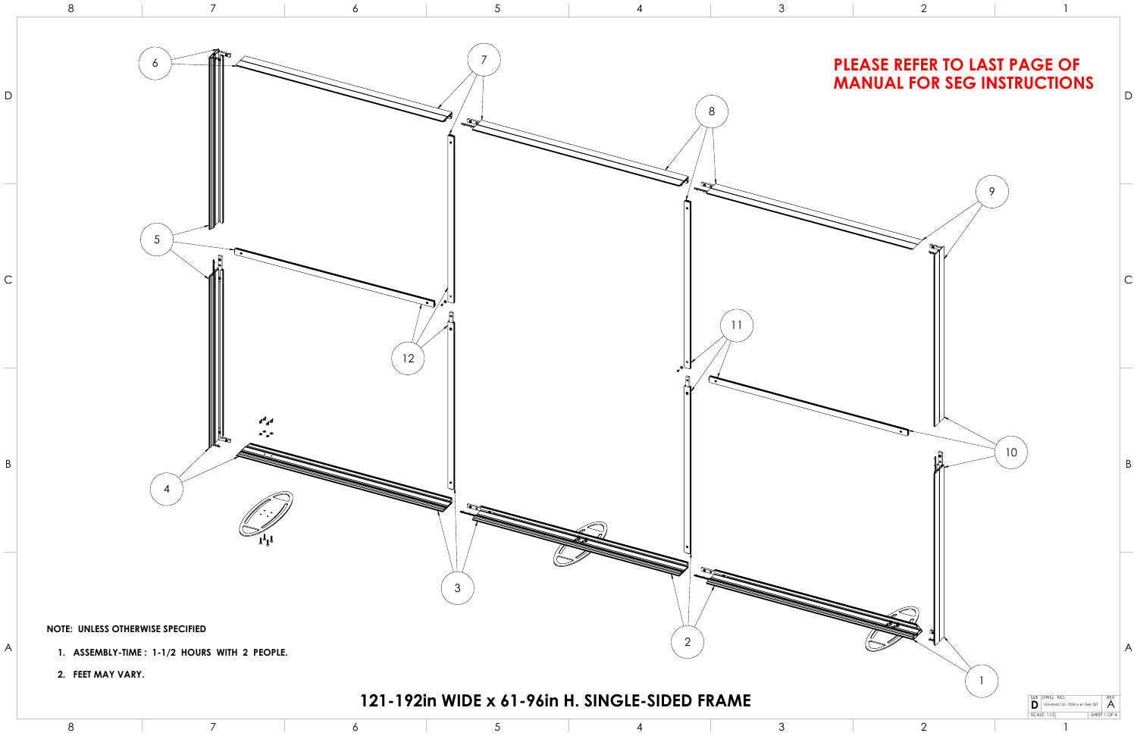

- 
-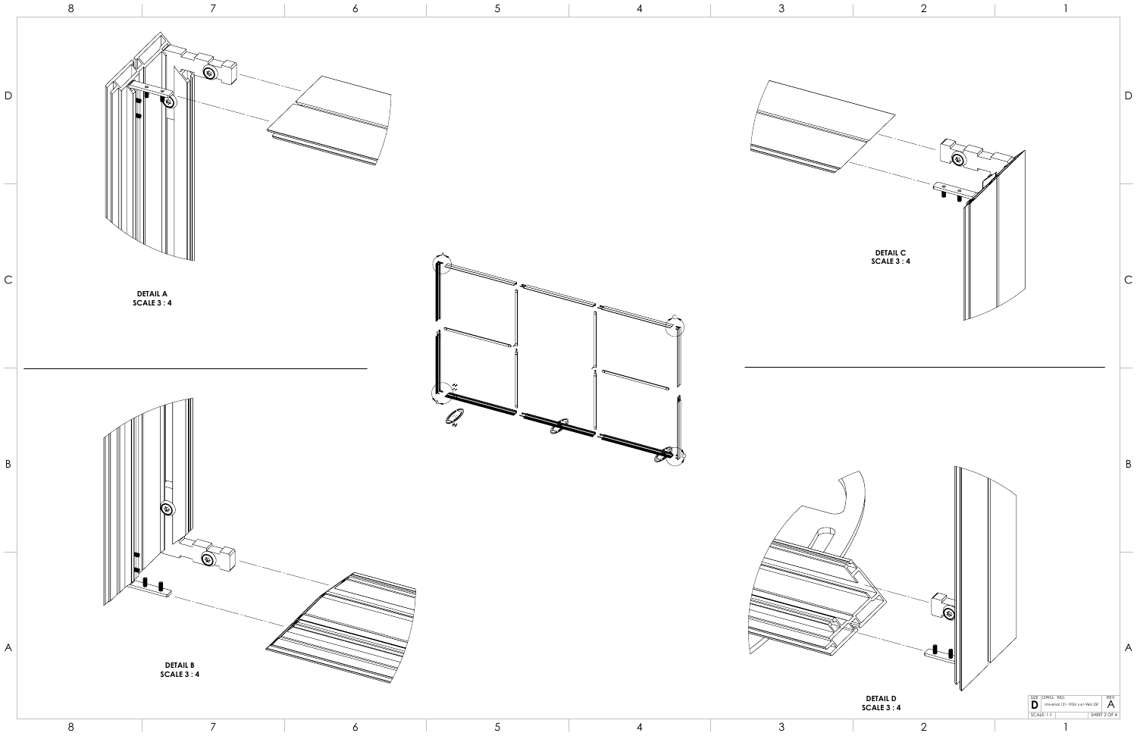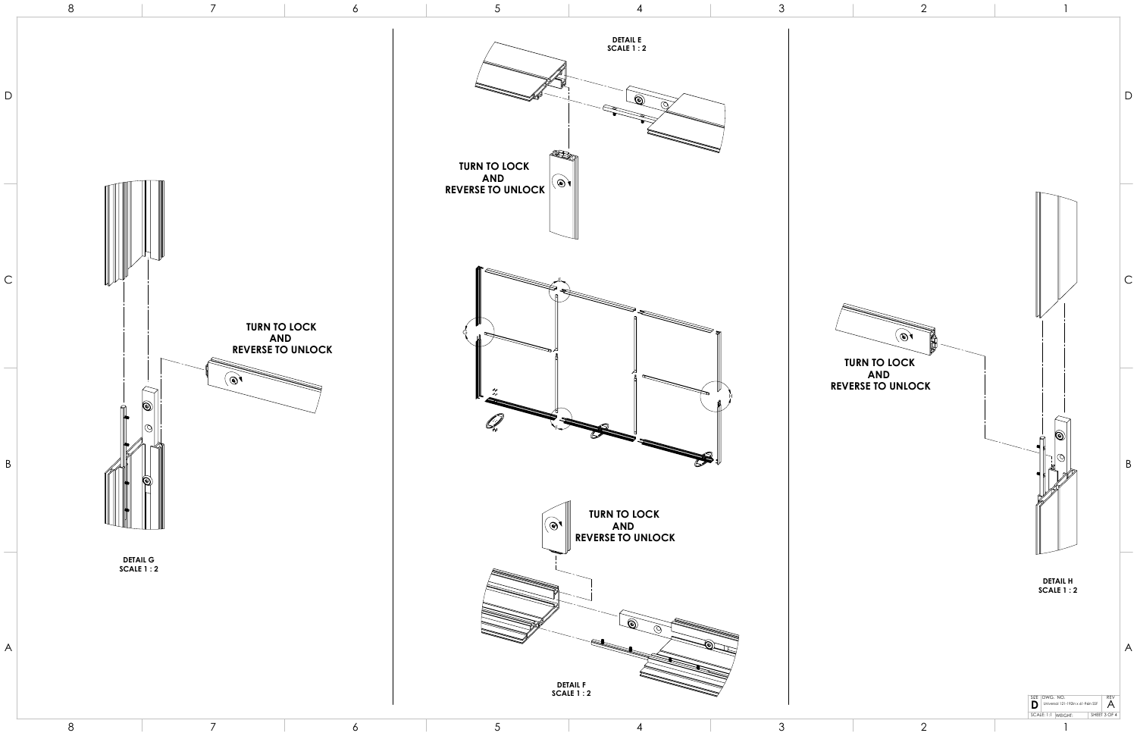



5



4



3